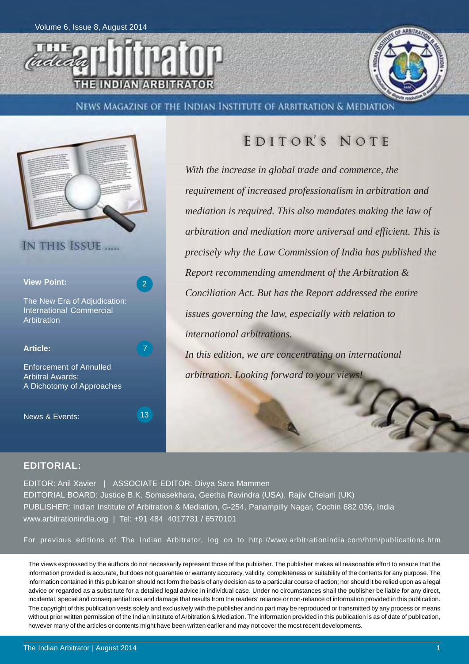



News Magazine of the Indian Institute of Arbitration & Mediation



## EDITOR'S NOTE

*With the increase in global trade and commerce, the requirement of increased professionalism in arbitration and mediation is required. This also mandates making the law of arbitration and mediation more universal and efficient. This is precisely why the Law Commission of India has published the Report recommending amendment of the Arbitration & Conciliation Act. But has the Report addressed the entire issues governing the law, especially with relation to international arbitrations. In this edition, we are concentrating on international*

*arbitration. Looking forward to your views!*

### **EDITORIAL:**

EDITOR: Anil Xavier | ASSOCIATE EDITOR: Divya Sara Mammen EDITORIAL BOARD: Justice B.K. Somasekhara, Geetha Ravindra (USA), Rajiv Chelani (UK) PUBLISHER: Indian Institute of Arbitration & Mediation, G-254, Panampilly Nagar, Cochin 682 036, India www.arbitrationindia.org | Tel: +91 484 4017731 / 6570101

For previous editions of The Indian Arbitrator, log on to http://www.arbitrationindia.com/htm/publications.htm

The views expressed by the authors do not necessarily represent those of the publisher. The publisher makes all reasonable effort to ensure that the information provided is accurate, but does not guarantee or warranty accuracy, validity, completeness or suitability of the contents for any purpose. The information contained in this publication should not form the basis of any decision as to a particular course of action; nor should it be relied upon as a legal advice or regarded as a substitute for a detailed legal advice in individual case. Under no circumstances shall the publisher be liable for any direct, incidental, special and consequential loss and damage that results from the readers' reliance or non-reliance of information provided in this publication. The copyright of this publication vests solely and exclusively with the publisher and no part may be reproduced or transmitted by any process or means without prior written permission of the Indian Institute of Arbitration & Mediation. The information provided in this publication is as of date of publication, however many of the articles or contents might have been written earlier and may not cover the most recent developments.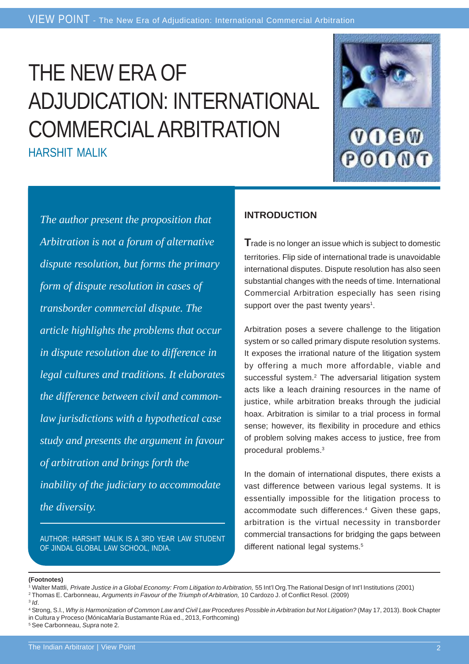VIEW POINT - The New Era of Adjudication: International Commercial Arbitration

## THE NEW ERA OF ADJUDICATION: INTERNATIONAL COMMERCIAL ARBITRATION HARSHIT MALIK



*The author present the proposition that Arbitration is not a forum of alternative dispute resolution, but forms the primary form of dispute resolution in cases of transborder commercial dispute. The article highlights the problems that occur in dispute resolution due to difference in legal cultures and traditions. It elaborates the difference between civil and commonlaw jurisdictions with a hypothetical case study and presents the argument in favour of arbitration and brings forth the inability of the judiciary to accommodate the diversity.*

AUTHOR: HARSHIT MALIK IS A 3RD YEAR LAW STUDENT OF JINDAL GLOBAL LAW SCHOOL, INDIA.

### **INTRODUCTION**

**T**rade is no longer an issue which is subject to domestic territories. Flip side of international trade is unavoidable international disputes. Dispute resolution has also seen substantial changes with the needs of time. International Commercial Arbitration especially has seen rising support over the past twenty years<sup>1</sup>.

Arbitration poses a severe challenge to the litigation system or so called primary dispute resolution systems. It exposes the irrational nature of the litigation system by offering a much more affordable, viable and successful system.<sup>2</sup> The adversarial litigation system acts like a leach draining resources in the name of justice, while arbitration breaks through the judicial hoax. Arbitration is similar to a trial process in formal sense; however, its flexibility in procedure and ethics of problem solving makes access to justice, free from procedural problems.3

In the domain of international disputes, there exists a vast difference between various legal systems. It is essentially impossible for the litigation process to accommodate such differences.<sup>4</sup> Given these gaps, arbitration is the virtual necessity in transborder commercial transactions for bridging the gaps between different national legal systems.<sup>5</sup>

<sup>&</sup>lt;sup>1</sup> Walter Mattli, Private Justice in a Global Economy: From Litigation to Arbitration, 55 Int'l Org. The Rational Design of Int'l Institutions (2001) 2 Thomas E. Carbonneau, *Arguments in Favour of the Triumph of Arbitration,* 10 Cardozo J. of Conflict Resol. (2009)

<sup>3</sup> *Id*.

<sup>4</sup> Strong, S.I., *Why is Harmonization of Common Law and Civil Law Procedures Possible in Arbitration but Not Litigation?* (May 17, 2013). Book Chapter in Cultura y Proceso (MónicaMaría Bustamante Rúa ed., 2013, Forthcoming) 5 See Carbonneau, *Supra* note 2.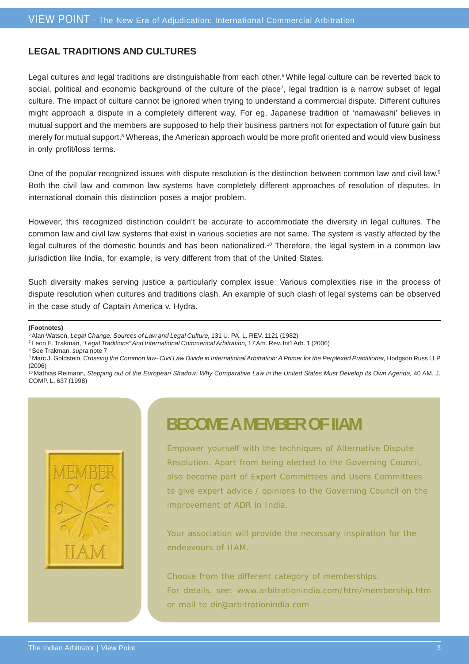## **LEGAL TRADITIONS AND CULTURES**

Legal cultures and legal traditions are distinguishable from each other.6 While legal culture can be reverted back to social, political and economic background of the culture of the place<sup>7</sup>, legal tradition is a narrow subset of legal culture. The impact of culture cannot be ignored when trying to understand a commercial dispute. Different cultures might approach a dispute in a completely different way. For eg, Japanese tradition of 'namawashi' believes in mutual support and the members are supposed to help their business partners not for expectation of future gain but merely for mutual support.<sup>8</sup> Whereas, the American approach would be more profit oriented and would view business in only profit/loss terms.

One of the popular recognized issues with dispute resolution is the distinction between common law and civil law.<sup>9</sup> Both the civil law and common law systems have completely different approaches of resolution of disputes. In international domain this distinction poses a major problem.

However, this recognized distinction couldn't be accurate to accommodate the diversity in legal cultures. The common law and civil law systems that exist in various societies are not same. The system is vastly affected by the legal cultures of the domestic bounds and has been nationalized.<sup>10</sup> Therefore, the legal system in a common law jurisdiction like India, for example, is very different from that of the United States.

Such diversity makes serving justice a particularly complex issue. Various complexities rise in the process of dispute resolution when cultures and traditions clash. An example of such clash of legal systems can be observed in the case study of Captain America v. Hydra.

#### **(Footnotes)**

- 6 Alan Watson, *Legal Change: Sources of Law and Legal Culture,* 131 U. PA. L. REV. 1121 (1982)
- 7 Leon E. Trakman, "*Legal Traditions" And International Commerical Arbitration,* 17 Am. Rev. Int'l Arb. 1 (2006)

8 See Trakman, *supra* note 7

<sup>9</sup> Marc J. Goldstein, *Crossing the Common law- Civil Law Divide in International Arbitration: A Primer for the Perplexed Practitioner, Hodgson Russ LLP* (2006)

10 Mathias Reimann, *Stepping out of the European Shadow: Why Comparative Law in the United States Must Develop its Own Agenda,* 40 AM. J. COMP. L. 637 (1998)



## **BECOME A MEMBER OF IIAM**

Empower yourself with the techniques of Alternative Dispute Resolution. Apart from being elected to the Governing Council, also become part of Expert Committees and Users Committees to give expert advice / opinions to the Governing Council on the improvement of ADR in India.

Your association will provide the necessary inspiration for the endeavours of IIAM.

Choose from the different category of memberships. For details. see: www.arbitrationindia.com/htm/membership.htm or mail to dir@arbitrationindia.com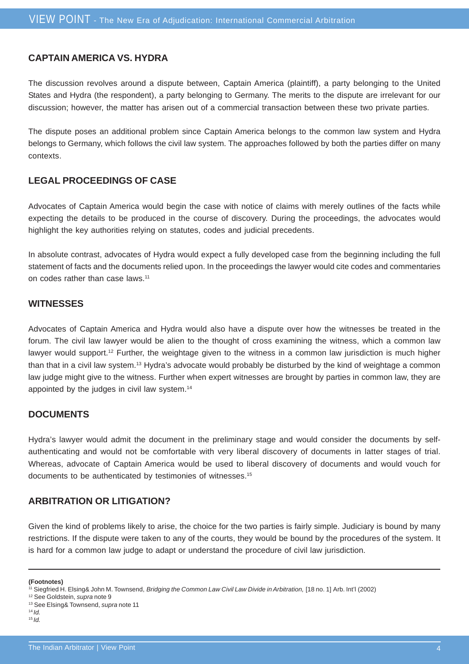### **CAPTAIN AMERICA VS. HYDRA**

The discussion revolves around a dispute between, Captain America (plaintiff), a party belonging to the United States and Hydra (the respondent), a party belonging to Germany. The merits to the dispute are irrelevant for our discussion; however, the matter has arisen out of a commercial transaction between these two private parties.

The dispute poses an additional problem since Captain America belongs to the common law system and Hydra belongs to Germany, which follows the civil law system. The approaches followed by both the parties differ on many contexts.

## **LEGAL PROCEEDINGS OF CASE**

Advocates of Captain America would begin the case with notice of claims with merely outlines of the facts while expecting the details to be produced in the course of discovery. During the proceedings, the advocates would highlight the key authorities relying on statutes, codes and judicial precedents.

In absolute contrast, advocates of Hydra would expect a fully developed case from the beginning including the full statement of facts and the documents relied upon. In the proceedings the lawyer would cite codes and commentaries on codes rather than case laws.<sup>11</sup>

#### **WITNESSES**

Advocates of Captain America and Hydra would also have a dispute over how the witnesses be treated in the forum. The civil law lawyer would be alien to the thought of cross examining the witness, which a common law lawyer would support.12 Further, the weightage given to the witness in a common law jurisdiction is much higher than that in a civil law system.<sup>13</sup> Hydra's advocate would probably be disturbed by the kind of weightage a common law judge might give to the witness. Further when expert witnesses are brought by parties in common law, they are appointed by the judges in civil law system.14

### **DOCUMENTS**

Hydra's lawyer would admit the document in the preliminary stage and would consider the documents by selfauthenticating and would not be comfortable with very liberal discovery of documents in latter stages of trial. Whereas, advocate of Captain America would be used to liberal discovery of documents and would vouch for documents to be authenticated by testimonies of witnesses.15

### **ARBITRATION OR LITIGATION?**

Given the kind of problems likely to arise, the choice for the two parties is fairly simple. Judiciary is bound by many restrictions. If the dispute were taken to any of the courts, they would be bound by the procedures of the system. It is hard for a common law judge to adapt or understand the procedure of civil law jurisdiction.

<sup>&</sup>lt;sup>11</sup> Siegfried H. Elsing& John M. Townsend, *Bridging the Common Law Civil Law Divide in Arbitration*, [18 no. 1] Arb. Int'l (2002)

<sup>12</sup> See Goldstein, *supra* note 9

<sup>13</sup> See Elsing& Townsend, *supra* note 11

<sup>14</sup>*Id.*  $15$  *Id.*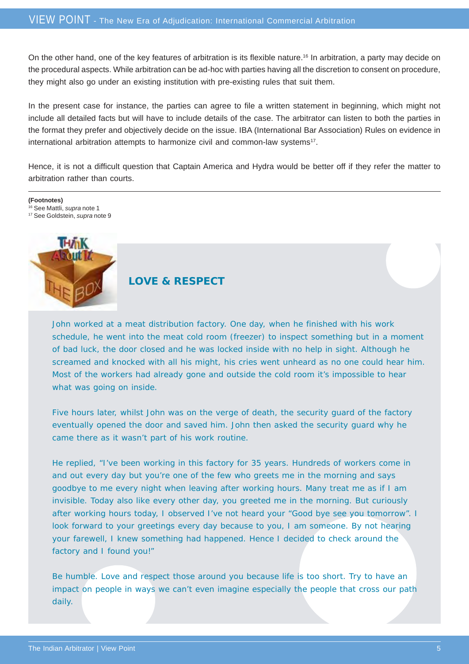On the other hand, one of the key features of arbitration is its flexible nature.16 In arbitration, a party may decide on the procedural aspects. While arbitration can be ad-hoc with parties having all the discretion to consent on procedure, they might also go under an existing institution with pre-existing rules that suit them.

In the present case for instance, the parties can agree to file a written statement in beginning, which might not include all detailed facts but will have to include details of the case. The arbitrator can listen to both the parties in the format they prefer and objectively decide on the issue. IBA (International Bar Association) Rules on evidence in international arbitration attempts to harmonize civil and common-law systems<sup>17</sup>.

Hence, it is not a difficult question that Captain America and Hydra would be better off if they refer the matter to arbitration rather than courts.

**(Footnotes)** 16 See Mattli, *supra* note 1 17 See Goldstein, *supra* note 9



## **LOVE & RESPECT**

John worked at a meat distribution factory. One day, when he finished with his work schedule, he went into the meat cold room (freezer) to inspect something but in a moment of bad luck, the door closed and he was locked inside with no help in sight. Although he screamed and knocked with all his might, his cries went unheard as no one could hear him. Most of the workers had already gone and outside the cold room it's impossible to hear what was going on inside.

Five hours later, whilst John was on the verge of death, the security guard of the factory eventually opened the door and saved him. John then asked the security guard why he came there as it wasn't part of his work routine.

He replied, "I've been working in this factory for 35 years. Hundreds of workers come in and out every day but you're one of the few who greets me in the morning and says goodbye to me every night when leaving after working hours. Many treat me as if I am invisible. Today also like every other day, you greeted me in the morning. But curiously after working hours today, I observed I've not heard your "Good bye see you tomorrow". I look forward to your greetings every day because to you, I am someone. By not hearing your farewell, I knew something had happened. Hence I decided to check around the factory and I found you!"

Be humble. Love and respect those around you because life is too short. Try to have an impact on people in ways we can't even imagine especially the people that cross our path daily.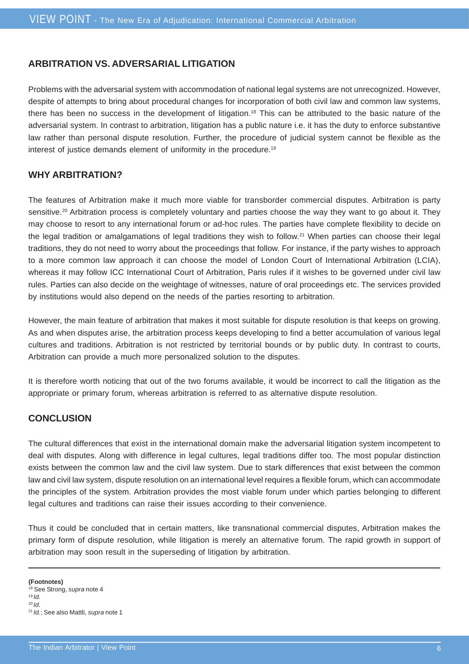### **ARBITRATION VS. ADVERSARIAL LITIGATION**

Problems with the adversarial system with accommodation of national legal systems are not unrecognized. However, despite of attempts to bring about procedural changes for incorporation of both civil law and common law systems, there has been no success in the development of litigation.18 This can be attributed to the basic nature of the adversarial system. In contrast to arbitration, litigation has a public nature i.e. it has the duty to enforce substantive law rather than personal dispute resolution. Further, the procedure of judicial system cannot be flexible as the interest of justice demands element of uniformity in the procedure.19

### **WHY ARBITRATION?**

The features of Arbitration make it much more viable for transborder commercial disputes. Arbitration is party sensitive.<sup>20</sup> Arbitration process is completely voluntary and parties choose the way they want to go about it. They may choose to resort to any international forum or ad-hoc rules. The parties have complete flexibility to decide on the legal tradition or amalgamations of legal traditions they wish to follow.21 When parties can choose their legal traditions, they do not need to worry about the proceedings that follow. For instance, if the party wishes to approach to a more common law approach it can choose the model of London Court of International Arbitration (LCIA), whereas it may follow ICC International Court of Arbitration, Paris rules if it wishes to be governed under civil law rules. Parties can also decide on the weightage of witnesses, nature of oral proceedings etc. The services provided by institutions would also depend on the needs of the parties resorting to arbitration.

However, the main feature of arbitration that makes it most suitable for dispute resolution is that keeps on growing. As and when disputes arise, the arbitration process keeps developing to find a better accumulation of various legal cultures and traditions. Arbitration is not restricted by territorial bounds or by public duty. In contrast to courts, Arbitration can provide a much more personalized solution to the disputes.

It is therefore worth noticing that out of the two forums available, it would be incorrect to call the litigation as the appropriate or primary forum, whereas arbitration is referred to as alternative dispute resolution.

### **CONCLUSION**

The cultural differences that exist in the international domain make the adversarial litigation system incompetent to deal with disputes. Along with difference in legal cultures, legal traditions differ too. The most popular distinction exists between the common law and the civil law system. Due to stark differences that exist between the common law and civil law system, dispute resolution on an international level requires a flexible forum, which can accommodate the principles of the system. Arbitration provides the most viable forum under which parties belonging to different legal cultures and traditions can raise their issues according to their convenience.

Thus it could be concluded that in certain matters, like transnational commercial disputes, Arbitration makes the primary form of dispute resolution, while litigation is merely an alternative forum. The rapid growth in support of arbitration may soon result in the superseding of litigation by arbitration.

<sup>18</sup> See Strong, *supra* note 4 <sup>19</sup>*Id.*

<sup>20</sup>*Id.*

<sup>21</sup>*Id.*; See also Mattli, *supra* note 1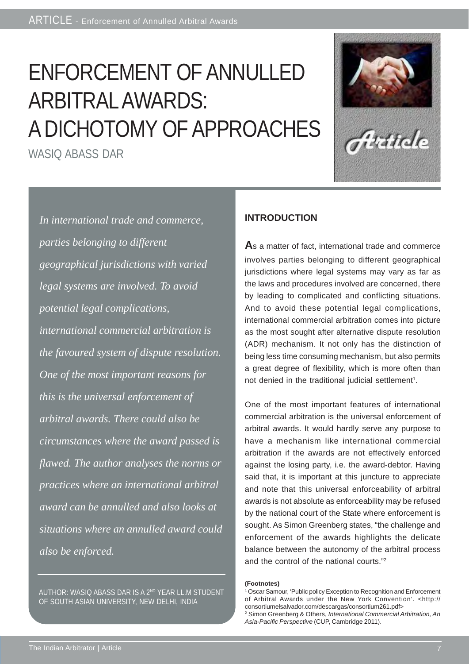# ENFORCEMENT OF ANNULLED ARBITRAL AWARDS: A DICHOTOMY OF APPROACHES

WASIQ ABASS DAR



*In international trade and commerce, parties belonging to different geographical jurisdictions with varied legal systems are involved. To avoid potential legal complications, international commercial arbitration is the favoured system of dispute resolution. One of the most important reasons for this is the universal enforcement of arbitral awards. There could also be circumstances where the award passed is flawed. The author analyses the norms or practices where an international arbitral award can be annulled and also looks at situations where an annulled award could also be enforced.*

AUTHOR: WASIQ ABASS DAR IS A 2ND YEAR LL.M STUDENT OF SOUTH ASIAN UNIVERSITY, NEW DELHI, INDIA

## **INTRODUCTION**

**A**s a matter of fact, international trade and commerce involves parties belonging to different geographical jurisdictions where legal systems may vary as far as the laws and procedures involved are concerned, there by leading to complicated and conflicting situations. And to avoid these potential legal complications, international commercial arbitration comes into picture as the most sought after alternative dispute resolution (ADR) mechanism. It not only has the distinction of being less time consuming mechanism, but also permits a great degree of flexibility, which is more often than not denied in the traditional judicial settlement<sup>1</sup>.

One of the most important features of international commercial arbitration is the universal enforcement of arbitral awards. It would hardly serve any purpose to have a mechanism like international commercial arbitration if the awards are not effectively enforced against the losing party, i.e. the award-debtor. Having said that, it is important at this juncture to appreciate and note that this universal enforceability of arbitral awards is not absolute as enforceability may be refused by the national court of the State where enforcement is sought. As Simon Greenberg states, "the challenge and enforcement of the awards highlights the delicate balance between the autonomy of the arbitral process and the control of the national courts."2

<sup>1</sup> Oscar Samour, 'Public policy Exception to Recognition and Enforcement of Arbitral Awards under the New York Convention'. <http:// consortiumelsalvador.com/descargas/consortium261.pdf>

<sup>2</sup> Simon Greenberg & Others, *International Commercial Arbitration, An Asia-Pacific Perspective* (CUP, Cambridge 2011).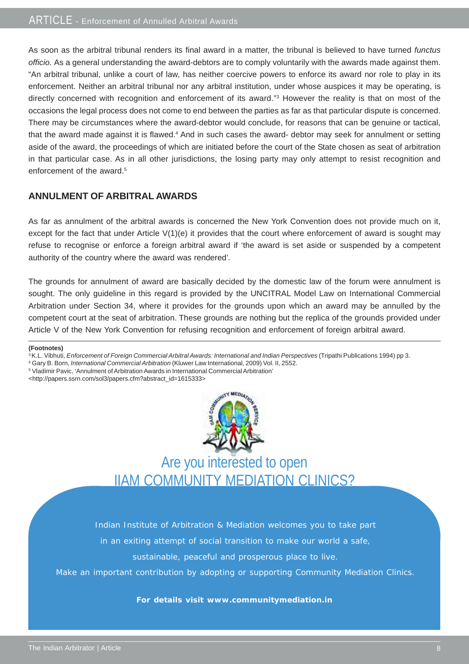As soon as the arbitral tribunal renders its final award in a matter, the tribunal is believed to have turned *functus officio.* As a general understanding the award-debtors are to comply voluntarily with the awards made against them. "An arbitral tribunal, unlike a court of law, has neither coercive powers to enforce its award nor role to play in its enforcement. Neither an arbitral tribunal nor any arbitral institution, under whose auspices it may be operating, is directly concerned with recognition and enforcement of its award."<sup>3</sup> However the reality is that on most of the occasions the legal process does not come to end between the parties as far as that particular dispute is concerned. There may be circumstances where the award-debtor would conclude, for reasons that can be genuine or tactical, that the award made against it is flawed.<sup>4</sup> And in such cases the award- debtor may seek for annulment or setting aside of the award, the proceedings of which are initiated before the court of the State chosen as seat of arbitration in that particular case. As in all other jurisdictions, the losing party may only attempt to resist recognition and enforcement of the award  $5$ 

## **ANNULMENT OF ARBITRAL AWARDS**

As far as annulment of the arbitral awards is concerned the New York Convention does not provide much on it, except for the fact that under Article V(1)(e) it provides that the court where enforcement of award is sought may refuse to recognise or enforce a foreign arbitral award if 'the award is set aside or suspended by a competent authority of the country where the award was rendered'*.*

The grounds for annulment of award are basically decided by the domestic law of the forum were annulment is sought. The only guideline in this regard is provided by the UNCITRAL Model Law on International Commercial Arbitration under Section 34, where it provides for the grounds upon which an award may be annulled by the competent court at the seat of arbitration. These grounds are nothing but the replica of the grounds provided under Article V of the New York Convention for refusing recognition and enforcement of foreign arbitral award.

#### **(Footnotes)**

<sup>3</sup> K.L. Vibhuti, *Enforcement of Foreign Commercial Arbitral Awards: International and Indian Perspectives (Tripathi Publications 1994) pp 3.* 

- 4 Gary B. Born, *International Commercial Arbitration* (Kluwer Law International, 2009) Vol. II, 2552.
- 5 Vladimir Pavic, 'Annulment of Arbitration Awards in International Commercial Arbitration'
- <http://papers.ssrn.com/sol3/papers.cfm?abstract\_id=1615333>



Are you interested to open IIAM COMMUNITY MEDIATION CLINICS?

Indian Institute of Arbitration & Mediation welcomes you to take part

in an exiting attempt of social transition to make our world a safe,

sustainable, peaceful and prosperous place to live.

Make an important contribution by adopting or supporting Community Mediation Clinics.

#### **For details visit www.communitymediation.in**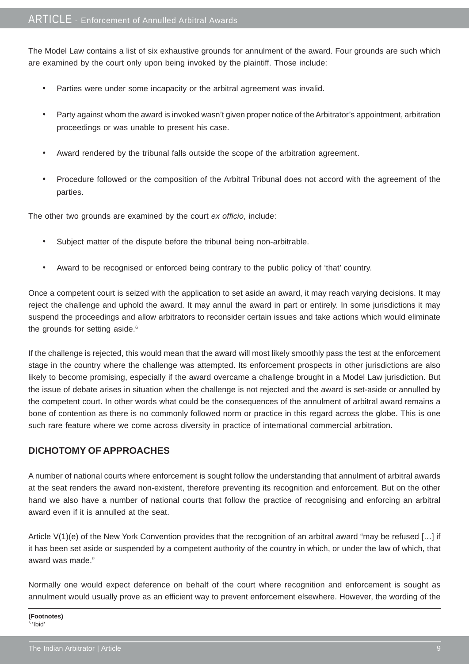The Model Law contains a list of six exhaustive grounds for annulment of the award. Four grounds are such which are examined by the court only upon being invoked by the plaintiff. Those include:

- Parties were under some incapacity or the arbitral agreement was invalid.
- Party against whom the award is invoked wasn't given proper notice of the Arbitrator's appointment, arbitration proceedings or was unable to present his case.
- Award rendered by the tribunal falls outside the scope of the arbitration agreement.
- Procedure followed or the composition of the Arbitral Tribunal does not accord with the agreement of the parties.

The other two grounds are examined by the court *ex officio*, include:

- Subject matter of the dispute before the tribunal being non-arbitrable.
- Award to be recognised or enforced being contrary to the public policy of 'that' country.

Once a competent court is seized with the application to set aside an award, it may reach varying decisions. It may reject the challenge and uphold the award. It may annul the award in part or entirely. In some jurisdictions it may suspend the proceedings and allow arbitrators to reconsider certain issues and take actions which would eliminate the grounds for setting aside.<sup>6</sup>

If the challenge is rejected, this would mean that the award will most likely smoothly pass the test at the enforcement stage in the country where the challenge was attempted. Its enforcement prospects in other jurisdictions are also likely to become promising, especially if the award overcame a challenge brought in a Model Law jurisdiction. But the issue of debate arises in situation when the challenge is not rejected and the award is set-aside or annulled by the competent court. In other words what could be the consequences of the annulment of arbitral award remains a bone of contention as there is no commonly followed norm or practice in this regard across the globe. This is one such rare feature where we come across diversity in practice of international commercial arbitration.

## **DICHOTOMY OF APPROACHES**

A number of national courts where enforcement is sought follow the understanding that annulment of arbitral awards at the seat renders the award non-existent, therefore preventing its recognition and enforcement. But on the other hand we also have a number of national courts that follow the practice of recognising and enforcing an arbitral award even if it is annulled at the seat.

Article V(1)(e) of the New York Convention provides that the recognition of an arbitral award "may be refused […] if it has been set aside or suspended by a competent authority of the country in which, or under the law of which, that award was made."

Normally one would expect deference on behalf of the court where recognition and enforcement is sought as annulment would usually prove as an efficient way to prevent enforcement elsewhere. However, the wording of the

**(Footnotes)** 6 'Ibid'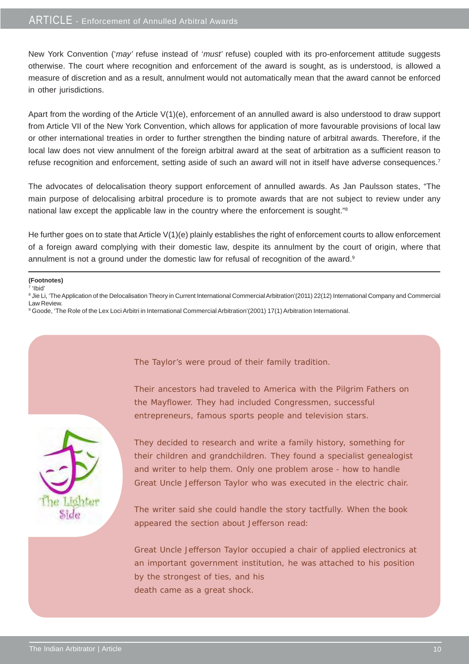New York Convention ('*may'* refuse instead of '*must'* refuse) coupled with its pro-enforcement attitude suggests otherwise. The court where recognition and enforcement of the award is sought, as is understood, is allowed a measure of discretion and as a result, annulment would not automatically mean that the award cannot be enforced in other jurisdictions.

Apart from the wording of the Article V(1)(e), enforcement of an annulled award is also understood to draw support from Article VII of the New York Convention, which allows for application of more favourable provisions of local law or other international treaties in order to further strengthen the binding nature of arbitral awards. Therefore, if the local law does not view annulment of the foreign arbitral award at the seat of arbitration as a sufficient reason to refuse recognition and enforcement, setting aside of such an award will not in itself have adverse consequences.<sup>7</sup>

The advocates of delocalisation theory support enforcement of annulled awards. As Jan Paulsson states, "The main purpose of delocalising arbitral procedure is to promote awards that are not subject to review under any national law except the applicable law in the country where the enforcement is sought."8

He further goes on to state that Article V(1)(e) plainly establishes the right of enforcement courts to allow enforcement of a foreign award complying with their domestic law, despite its annulment by the court of origin, where that annulment is not a ground under the domestic law for refusal of recognition of the award.<sup>9</sup>

<sup>8</sup> Jie Li, 'The Application of the Delocalisation Theory in Current International Commercial Arbitration'(2011) 22(12) International Company and Commercial Law Review.

The Taylor's were proud of their family tradition.

9 Goode, 'The Role of the Lex Loci Arbitri in International Commercial Arbitration'(2001) 17(1) Arbitration International.



Their ancestors had traveled to America with the Pilgrim Fathers on the Mayflower. They had included Congressmen, successful

entrepreneurs, famous sports people and television stars.

They decided to research and write a family history, something for their children and grandchildren. They found a specialist genealogist and writer to help them. Only one problem arose - how to handle Great Uncle Jefferson Taylor who was executed in the electric chair.

The writer said she could handle the story tactfully. When the book appeared the section about Jefferson read:

Great Uncle Jefferson Taylor occupied a chair of applied electronics at an important government institution, he was attached to his position by the strongest of ties, and his death came as a great shock.

**<sup>(</sup>Footnotes)**

 $\overline{7}$  'Ibid'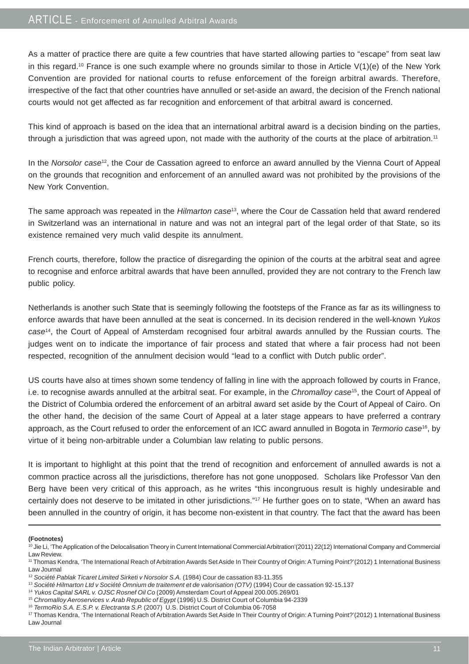## ARTICLE - Enforcement of Annulled Arbitral Awards

As a matter of practice there are quite a few countries that have started allowing parties to "escape" from seat law in this regard.<sup>10</sup> France is one such example where no grounds similar to those in Article  $V(1)(e)$  of the New York Convention are provided for national courts to refuse enforcement of the foreign arbitral awards. Therefore, irrespective of the fact that other countries have annulled or set-aside an award, the decision of the French national courts would not get affected as far recognition and enforcement of that arbitral award is concerned.

This kind of approach is based on the idea that an international arbitral award is a decision binding on the parties, through a jurisdiction that was agreed upon, not made with the authority of the courts at the place of arbitration.11

In the *Norsolor case*12, the Cour de Cassation agreed to enforce an award annulled by the Vienna Court of Appeal on the grounds that recognition and enforcement of an annulled award was not prohibited by the provisions of the New York Convention.

The same approach was repeated in the *Hilmarton case*13, where the Cour de Cassation held that award rendered in Switzerland was an international in nature and was not an integral part of the legal order of that State, so its existence remained very much valid despite its annulment.

French courts, therefore, follow the practice of disregarding the opinion of the courts at the arbitral seat and agree to recognise and enforce arbitral awards that have been annulled, provided they are not contrary to the French law public policy.

Netherlands is another such State that is seemingly following the footsteps of the France as far as its willingness to enforce awards that have been annulled at the seat is concerned. In its decision rendered in the well-known *Yukos case*14, the Court of Appeal of Amsterdam recognised four arbitral awards annulled by the Russian courts. The judges went on to indicate the importance of fair process and stated that where a fair process had not been respected, recognition of the annulment decision would "lead to a conflict with Dutch public order".

US courts have also at times shown some tendency of falling in line with the approach followed by courts in France, i.e. to recognise awards annulled at the arbitral seat. For example, in the *Chromalloy case*15, the Court of Appeal of the District of Columbia ordered the enforcement of an arbitral award set aside by the Court of Appeal of Cairo. On the other hand, the decision of the same Court of Appeal at a later stage appears to have preferred a contrary approach, as the Court refused to order the enforcement of an ICC award annulled in Bogota in *Termorio case*16, by virtue of it being non-arbitrable under a Columbian law relating to public persons.

It is important to highlight at this point that the trend of recognition and enforcement of annulled awards is not a common practice across all the jurisdictions, therefore has not gone unopposed. Scholars like Professor Van den Berg have been very critical of this approach, as he writes "this incongruous result is highly undesirable and certainly does not deserve to be imitated in other jurisdictions."<sup>17</sup> He further goes on to state, "When an award has been annulled in the country of origin, it has become non-existent in that country. The fact that the award has been

<sup>&</sup>lt;sup>10</sup> Jie Li, 'The Application of the Delocalisation Theory in Current International Commercial Arbitration'(2011) 22(12) International Company and Commercial Law Review.

<sup>11</sup> Thomas Kendra, 'The International Reach of Arbitration Awards Set Aside In Their Country of Origin: A Turning Point?'(2012) 1 International Business Law Journal

<sup>12</sup> *Société Pablak Ticaret Limited Sirketi v Norsolor S.A.* (1984) Cour de cassation 83-11.355

<sup>13</sup> *Société Hilmarton Ltd v Société Omnium de traitement et de valorisation (OTV)* (1994) Cour de cassation 92-15.137

<sup>14</sup> *Yukos Capital SARL v. OJSC Rosnef Oil Co* (2009) Amsterdam Court of Appeal 200.005.269/01

<sup>15</sup> *Chromalloy Aeroservices v. Arab Republic of Egypt* (1996) U.S. District Court of Columbia 94-2339

<sup>&</sup>lt;sup>16</sup> TermoRio S.A. E.S.P. v. Electranta S.P. (2007) U.S. District Court of Columbia 06-7058

<sup>17</sup> Thomas Kendra, 'The International Reach of Arbitration Awards Set Aside In Their Country of Origin: A Turning Point?'(2012) 1 International Business Law Journal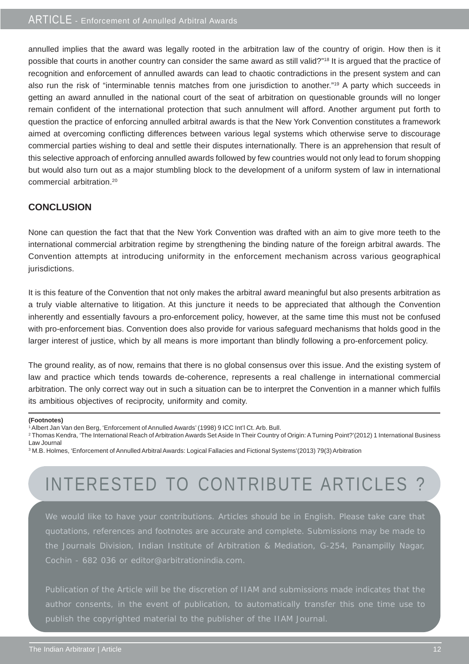annulled implies that the award was legally rooted in the arbitration law of the country of origin. How then is it possible that courts in another country can consider the same award as still valid?"18 It is argued that the practice of recognition and enforcement of annulled awards can lead to chaotic contradictions in the present system and can also run the risk of "interminable tennis matches from one jurisdiction to another."19 A party which succeeds in getting an award annulled in the national court of the seat of arbitration on questionable grounds will no longer remain confident of the international protection that such annulment will afford. Another argument put forth to question the practice of enforcing annulled arbitral awards is that the New York Convention constitutes a framework aimed at overcoming conflicting differences between various legal systems which otherwise serve to discourage commercial parties wishing to deal and settle their disputes internationally. There is an apprehension that result of this selective approach of enforcing annulled awards followed by few countries would not only lead to forum shopping but would also turn out as a major stumbling block to the development of a uniform system of law in international commercial arbitration.20

## **CONCLUSION**

None can question the fact that that the New York Convention was drafted with an aim to give more teeth to the international commercial arbitration regime by strengthening the binding nature of the foreign arbitral awards. The Convention attempts at introducing uniformity in the enforcement mechanism across various geographical jurisdictions.

It is this feature of the Convention that not only makes the arbitral award meaningful but also presents arbitration as a truly viable alternative to litigation. At this juncture it needs to be appreciated that although the Convention inherently and essentially favours a pro-enforcement policy, however, at the same time this must not be confused with pro-enforcement bias. Convention does also provide for various safeguard mechanisms that holds good in the larger interest of justice, which by all means is more important than blindly following a pro-enforcement policy.

The ground reality, as of now, remains that there is no global consensus over this issue. And the existing system of law and practice which tends towards de-coherence, represents a real challenge in international commercial arbitration. The only correct way out in such a situation can be to interpret the Convention in a manner which fulfils its ambitious objectives of reciprocity, uniformity and comity.

#### **(Footnotes)**

- 1 Albert Jan Van den Berg, 'Enforcement of Annulled Awards' (1998) 9 ICC Int'l Ct. Arb. Bull.
- <sup>2</sup> Thomas Kendra, 'The International Reach of Arbitration Awards Set Aside In Their Country of Origin: A Turning Point?'(2012) 1 International Business Law Journal
- 3 M.B. Holmes, 'Enforcement of Annulled Arbitral Awards: Logical Fallacies and Fictional Systems'(2013) 79(3) Arbitration

## INTERESTED TO CONTRIBUTE ARTICLES?

We would like to have your contributions. Articles should be in English. Please take care that quotations, references and footnotes are accurate and complete. Submissions may be made to the Journals Division, Indian Institute of Arbitration & Mediation, G-254, Panampilly Nagar, Cochin - 682 036 or editor@arbitrationindia.com.

Publication of the Article will be the discretion of IIAM and submissions made indicates that the author consents, in the event of publication, to automatically transfer this one time use to publish the copyrighted material to the publisher of the IIAM Journal.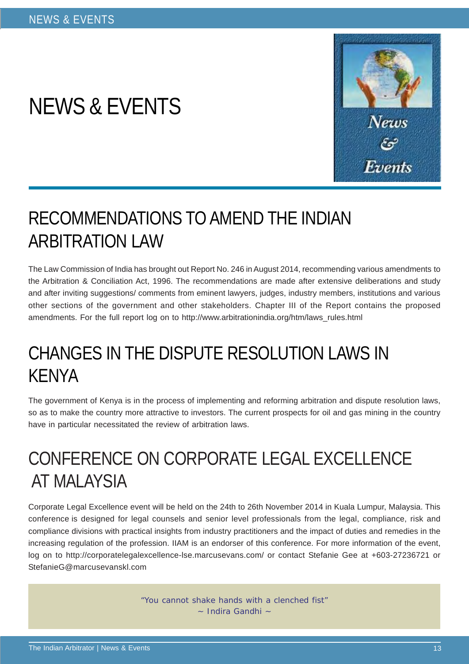# NEWS & EVENTS



## RECOMMENDATIONS TO AMEND THE INDIAN ARBITRATION LAW

The Law Commission of India has brought out Report No. 246 in August 2014, recommending various amendments to the Arbitration & Conciliation Act, 1996. The recommendations are made after extensive deliberations and study and after inviting suggestions/ comments from eminent lawyers, judges, industry members, institutions and various other sections of the government and other stakeholders. Chapter III of the Report contains the proposed amendments. For the full report log on to http://www.arbitrationindia.org/htm/laws\_rules.html

## CHANGES IN THE DISPUTE RESOLUTION LAWS IN KENYA

The government of Kenya is in the process of implementing and reforming arbitration and dispute resolution laws, so as to make the country more attractive to investors. The current prospects for oil and gas mining in the country have in particular necessitated the review of arbitration laws.

## CONFERENCE ON CORPORATE LEGAL EXCELLENCE AT MALAYSIA

Corporate Legal Excellence event will be held on the 24th to 26th November 2014 in Kuala Lumpur, Malaysia. This conference is designed for legal counsels and senior level professionals from the legal, compliance, risk and compliance divisions with practical insights from industry practitioners and the impact of duties and remedies in the increasing regulation of the profession. IIAM is an endorser of this conference. For more information of the event, log on to http://corporatelegalexcellence-lse.marcusevans.com/ or contact Stefanie Gee at +603-27236721 or StefanieG@marcusevanskl.com

> "You cannot shake hands with a clenched fist"  $\sim$  Indira Gandhi  $\sim$